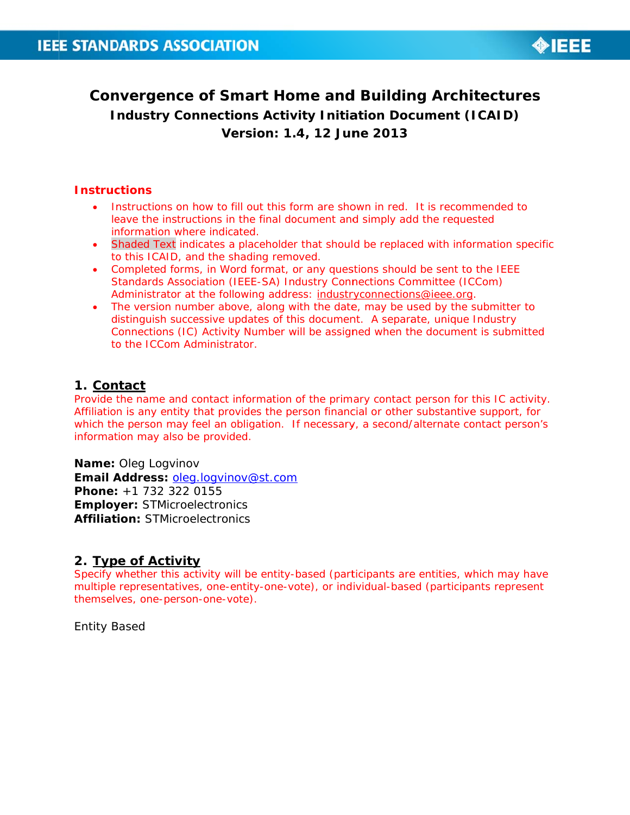

# **Convergence of Smart Home and Building Architectures Industry Connections Activity Initiation Document (ICAID)** Version: 1.4, 12 June 2013

#### **Instructions**

- Instructions on how to fill out this form are shown in red. It is recommended to leave the instructions in the final document and simply add the requested information where indicated.
- Shaded Text indicates a placeholder that should be replaced with information specific to this ICAID, and the shading removed.
- Completed forms, in Word format, or any questions should be sent to the IEEE Standards Association (IEEE-SA) Industry Connections Committee (ICCom) Administrator at the following address: industryconnections@ieee.org.
- The version number above, along with the date, may be used by the submitter to distinguish successive updates of this document. A separate, unique Industry Connections (IC) Activity Number will be assigned when the document is submitted to the ICCom Administrator.

#### 1. Contact

Provide the name and contact information of the primary contact person for this IC activity. Affiliation is any entity that provides the person financial or other substantive support, for which the person may feel an obligation. If necessary, a second/alternate contact person's information may also be provided.

Name: Oleg Logvinov Email Address: oleg.logyinov@st.com Phone: +1 732 322 0155 **Employer: STMicroelectronics Affiliation: STMicroelectronics** 

#### 2. Type of Activity

Specify whether this activity will be entity-based (participants are entities, which may have multiple representatives, one-entity-one-vote), or individual-based (participants represent themselves, one-person-one-vote).

**Entity Based**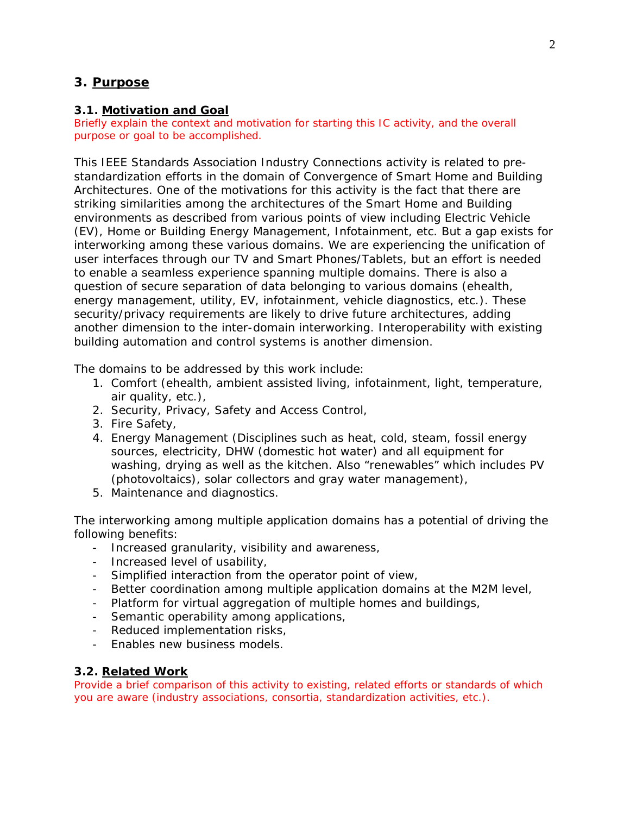## **3. Purpose**

#### **3.1. Motivation and Goal**

Briefly explain the context and motivation for starting this IC activity, and the overall purpose or goal to be accomplished.

This IEEE Standards Association Industry Connections activity is related to prestandardization efforts in the domain of Convergence of Smart Home and Building Architectures. One of the motivations for this activity is the fact that there are striking similarities among the architectures of the Smart Home and Building environments as described from various points of view including Electric Vehicle (EV), Home or Building Energy Management, Infotainment, etc. But a gap exists for interworking among these various domains. We are experiencing the unification of user interfaces through our TV and Smart Phones/Tablets, but an effort is needed to enable a seamless experience spanning multiple domains. There is also a question of secure separation of data belonging to various domains (ehealth, energy management, utility, EV, infotainment, vehicle diagnostics, etc.). These security/privacy requirements are likely to drive future architectures, adding another dimension to the inter-domain interworking. Interoperability with existing building automation and control systems is another dimension.

The domains to be addressed by this work include:

- 1. Comfort (ehealth, ambient assisted living, infotainment, light, temperature, air quality, etc.),
- 2. Security, Privacy, Safety and Access Control,
- 3. Fire Safety,
- 4. Energy Management (Disciplines such as heat, cold, steam, fossil energy sources, electricity, DHW (domestic hot water) and all equipment for washing, drying as well as the kitchen. Also "renewables" which includes PV (photovoltaics), solar collectors and gray water management),
- 5. Maintenance and diagnostics.

The interworking among multiple application domains has a potential of driving the following benefits:

- Increased granularity, visibility and awareness,
- Increased level of usability,
- Simplified interaction from the operator point of view,
- Better coordination among multiple application domains at the M2M level,
- Platform for virtual aggregation of multiple homes and buildings,
- Semantic operability among applications,
- Reduced implementation risks,
- Enables new business models.

#### **3.2. Related Work**

Provide a brief comparison of this activity to existing, related efforts or standards of which you are aware (industry associations, consortia, standardization activities, etc.).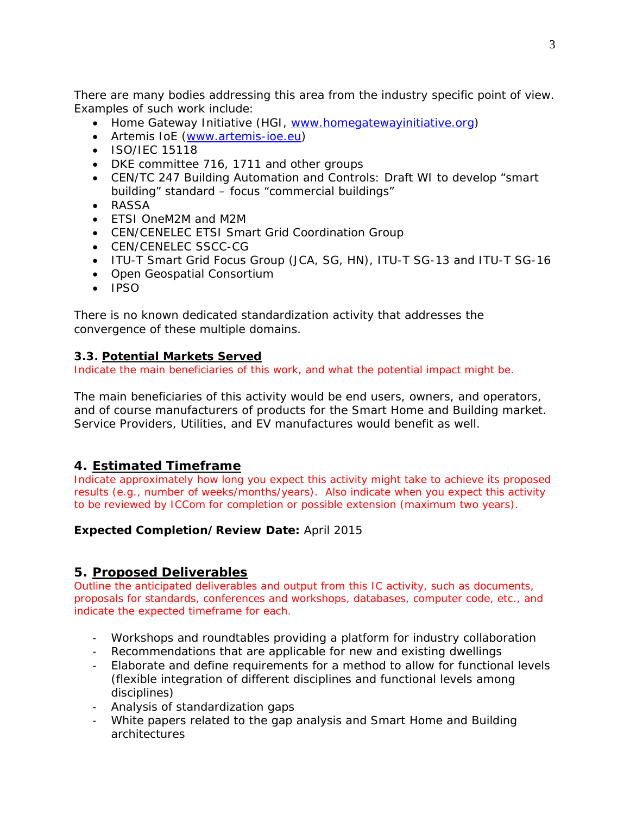There are many bodies addressing this area from the industry specific point of view. Examples of such work include:

- Home Gateway Initiative (HGI, www.homegatewayinitiative.org)
- Artemis IoE (www.artemis-ioe.eu)
- ISO/IEC 15118
- DKE committee 716, 1711 and other groups
- CEN/TC 247 Building Automation and Controls: Draft WI to develop "smart building" standard – focus "commercial buildings"
- RASSA
- ETSI OneM2M and M2M
- CEN/CENELEC ETSI Smart Grid Coordination Group
- CEN/CENELEC SSCC-CG
- ITU-T Smart Grid Focus Group (JCA, SG, HN), ITU-T SG-13 and ITU-T SG-16
- Open Geospatial Consortium
- $\cdot$  IPSO

There is no known dedicated standardization activity that addresses the convergence of these multiple domains.

## **3.3. Potential Markets Served**

Indicate the main beneficiaries of this work, and what the potential impact might be.

The main beneficiaries of this activity would be end users, owners, and operators, and of course manufacturers of products for the Smart Home and Building market. Service Providers, Utilities, and EV manufactures would benefit as well.

## **4. Estimated Timeframe**

Indicate approximately how long you expect this activity might take to achieve its proposed results (e.g., number of weeks/months/years). Also indicate when you expect this activity to be reviewed by ICCom for completion or possible extension (maximum two years).

## **Expected Completion/Review Date:** April 2015

## **5. Proposed Deliverables**

Outline the anticipated deliverables and output from this IC activity, such as documents, proposals for standards, conferences and workshops, databases, computer code, etc., and indicate the expected timeframe for each.

- Workshops and roundtables providing a platform for industry collaboration
- Recommendations that are applicable for new and existing dwellings
- Elaborate and define requirements for a method to allow for functional levels (flexible integration of different disciplines and functional levels among disciplines)
- Analysis of standardization gaps
- White papers related to the gap analysis and Smart Home and Building architectures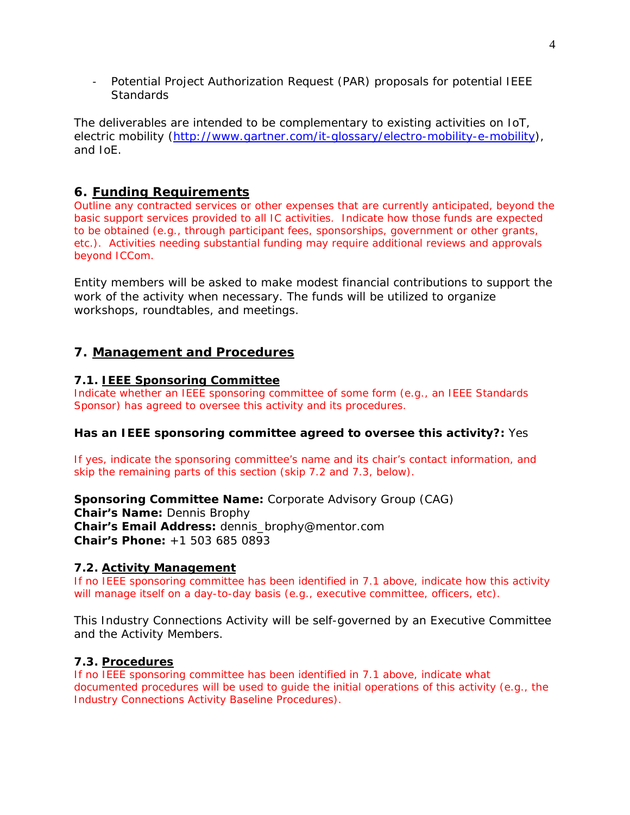- Potential Project Authorization Request (PAR) proposals for potential IEEE **Standards** 

The deliverables are intended to be complementary to existing activities on IoT, electric mobility (http://www.gartner.com/it-glossary/electro-mobility-e-mobility), and IoE.

## **6. Funding Requirements**

Outline any contracted services or other expenses that are currently anticipated, beyond the basic support services provided to all IC activities. Indicate how those funds are expected to be obtained (e.g., through participant fees, sponsorships, government or other grants, etc.). Activities needing substantial funding may require additional reviews and approvals beyond ICCom.

Entity members will be asked to make modest financial contributions to support the work of the activity when necessary. The funds will be utilized to organize workshops, roundtables, and meetings.

## **7. Management and Procedures**

#### **7.1. IEEE Sponsoring Committee**

Indicate whether an IEEE sponsoring committee of some form (e.g., an IEEE Standards Sponsor) has agreed to oversee this activity and its procedures.

#### **Has an IEEE sponsoring committee agreed to oversee this activity?:** Yes

If yes, indicate the sponsoring committee's name and its chair's contact information, and skip the remaining parts of this section (skip 7.2 and 7.3, below).

**Sponsoring Committee Name:** Corporate Advisory Group (CAG)

**Chair's Name:** Dennis Brophy **Chair's Email Address:** dennis\_brophy@mentor.com **Chair's Phone:** +1 503 685 0893

#### **7.2. Activity Management**

If no IEEE sponsoring committee has been identified in 7.1 above, indicate how this activity will manage itself on a day-to-day basis (e.g., executive committee, officers, etc).

This Industry Connections Activity will be self-governed by an Executive Committee and the Activity Members.

#### **7.3. Procedures**

If no IEEE sponsoring committee has been identified in 7.1 above, indicate what documented procedures will be used to guide the initial operations of this activity (e.g., the *Industry Connections Activity Baseline Procedures*).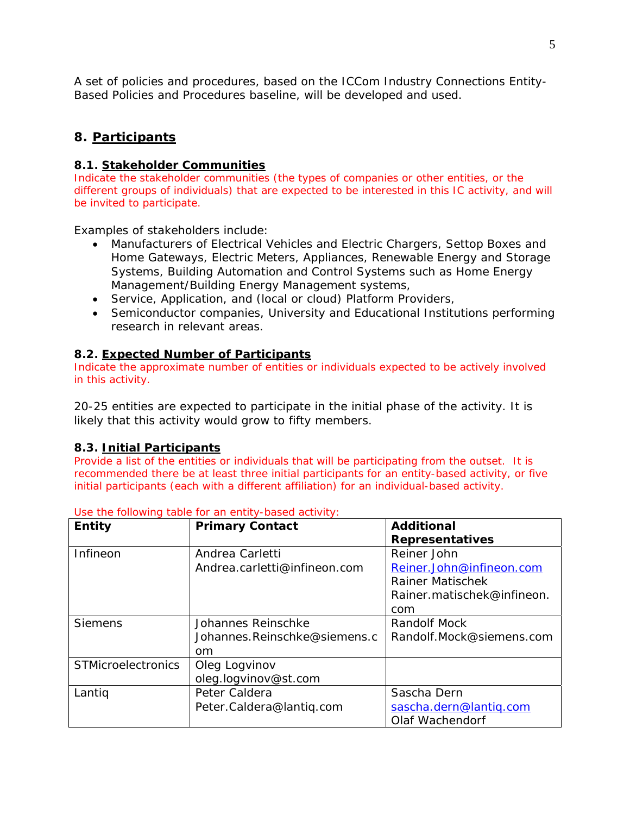A set of policies and procedures, based on the ICCom Industry Connections Entity-Based Policies and Procedures baseline, will be developed and used.

## **8. Participants**

#### **8.1. Stakeholder Communities**

Indicate the stakeholder communities (the types of companies or other entities, or the different groups of individuals) that are expected to be interested in this IC activity, and will be invited to participate.

Examples of stakeholders include:

- Manufacturers of Electrical Vehicles and Electric Chargers, Settop Boxes and Home Gateways, Electric Meters, Appliances, Renewable Energy and Storage Systems, Building Automation and Control Systems such as Home Energy Management/Building Energy Management systems,
- Service, Application, and (local or cloud) Platform Providers,
- Semiconductor companies, University and Educational Institutions performing research in relevant areas.

#### **8.2. Expected Number of Participants**

Indicate the approximate number of entities or individuals expected to be actively involved in this activity.

20-25 entities are expected to participate in the initial phase of the activity. It is likely that this activity would grow to fifty members.

## **8.3. Initial Participants**

Provide a list of the entities or individuals that will be participating from the outset. It is recommended there be at least three initial participants for an entity-based activity, or five initial participants (each with a different affiliation) for an individual-based activity.

| Entity                    | <b>Primary Contact</b>       | <b>Additional</b>          |  |
|---------------------------|------------------------------|----------------------------|--|
|                           |                              | <b>Representatives</b>     |  |
| Infineon                  | Andrea Carletti              | Reiner John                |  |
|                           | Andrea.carletti@infineon.com | Reiner.John@infineon.com   |  |
|                           |                              | Rainer Matischek           |  |
|                           |                              | Rainer.matischek@infineon. |  |
|                           |                              | com                        |  |
| <b>Siemens</b>            | Johannes Reinschke           | Randolf Mock               |  |
|                           | Johannes.Reinschke@siemens.c | Randolf.Mock@siemens.com   |  |
|                           | om                           |                            |  |
| <b>STMicroelectronics</b> | Oleg Logvinov                |                            |  |
|                           | oleg.logvinov@st.com         |                            |  |
| Lantig                    | Peter Caldera                | Sascha Dern                |  |
|                           | Peter.Caldera@lantiq.com     | sascha.dern@lantiq.com     |  |
|                           |                              | Olaf Wachendorf            |  |

Use the following table for an entity-based activity: